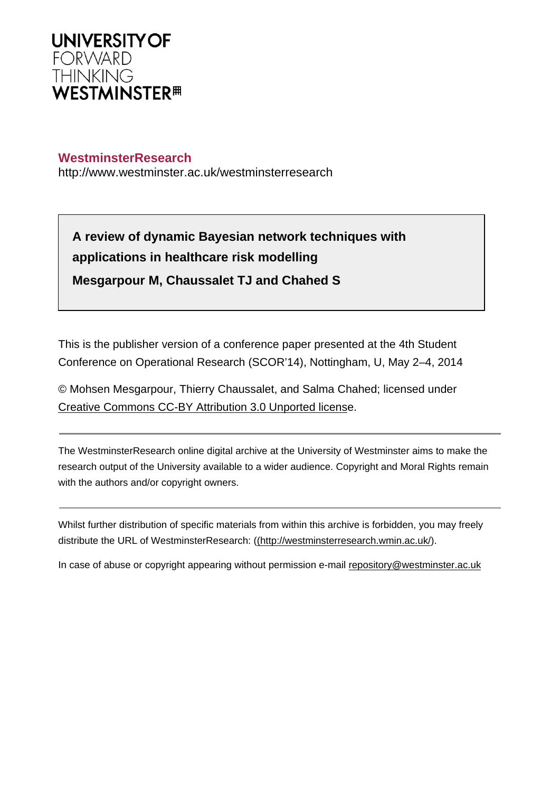

# **WestminsterResearch**

http://www.westminster.ac.uk/westminsterresearch

**A review of dynamic Bayesian network techniques with applications in healthcare risk modelling Mesgarpour M, Chaussalet TJ and Chahed S**

This is the publisher version of a conference paper presented at the 4th Student Conference on Operational Research (SCOR'14), Nottingham, U, May 2–4, 2014

© Mohsen Mesgarpour, Thierry Chaussalet, and Salma Chahed; licensed under Creative [Commons](https://creativecommons.org/licenses/by/3.0/) CC-BY Attribution 3.0 Unported license.

The WestminsterResearch online digital archive at the University of Westminster aims to make the research output of the University available to a wider audience. Copyright and Moral Rights remain with the authors and/or copyright owners.

Whilst further distribution of specific materials from within this archive is forbidden, you may freely distribute the URL of WestminsterResearch: [\(\(http://westminsterresearch.wmin.ac.uk/](http://westminsterresearch.wmin.ac.uk/)).

In case of abuse or copyright appearing without permission e-mail <repository@westminster.ac.uk>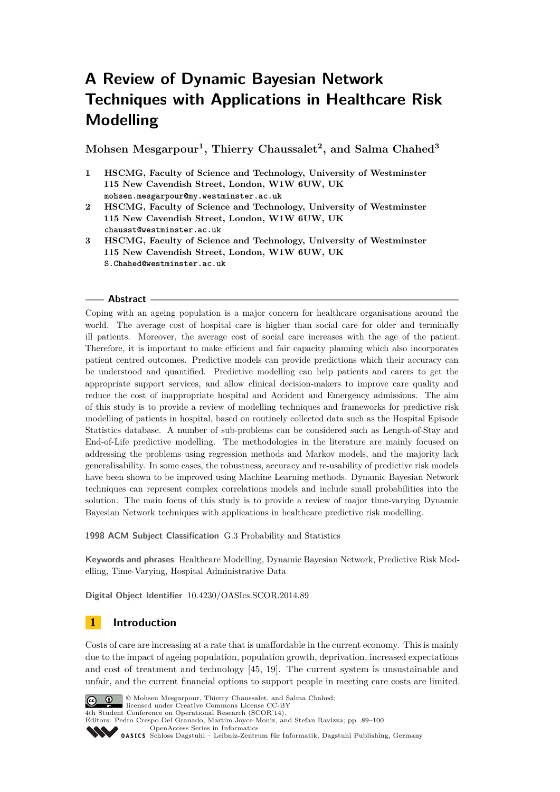# **A Review of Dynamic Bayesian Network Techniques with Applications in Healthcare Risk Modelling**

**Mohsen Mesgarpour<sup>1</sup> , Thierry Chaussalet<sup>2</sup> , and Salma Chahed<sup>3</sup>**

- **1 HSCMG, Faculty of Science and Technology, University of Westminster 115 New Cavendish Street, London, W1W 6UW, UK mohsen.mesgarpour@my.westminster.ac.uk**
- **2 HSCMG, Faculty of Science and Technology, University of Westminster 115 New Cavendish Street, London, W1W 6UW, UK chausst@westminster.ac.uk**
- **3 HSCMG, Faculty of Science and Technology, University of Westminster 115 New Cavendish Street, London, W1W 6UW, UK S.Chahed@westminster.ac.uk**

#### **Abstract**

Coping with an ageing population is a major concern for healthcare organisations around the world. The average cost of hospital care is higher than social care for older and terminally ill patients. Moreover, the average cost of social care increases with the age of the patient. Therefore, it is important to make efficient and fair capacity planning which also incorporates patient centred outcomes. Predictive models can provide predictions which their accuracy can be understood and quantified. Predictive modelling can help patients and carers to get the appropriate support services, and allow clinical decision-makers to improve care quality and reduce the cost of inappropriate hospital and Accident and Emergency admissions. The aim of this study is to provide a review of modelling techniques and frameworks for predictive risk modelling of patients in hospital, based on routinely collected data such as the Hospital Episode Statistics database. A number of sub-problems can be considered such as Length-of-Stay and End-of-Life predictive modelling. The methodologies in the literature are mainly focused on addressing the problems using regression methods and Markov models, and the majority lack generalisability. In some cases, the robustness, accuracy and re-usability of predictive risk models have been shown to be improved using Machine Learning methods. Dynamic Bayesian Network techniques can represent complex correlations models and include small probabilities into the solution. The main focus of this study is to provide a review of major time-varying Dynamic Bayesian Network techniques with applications in healthcare predictive risk modelling.

**1998 ACM Subject Classification** G.3 Probability and Statistics

**Keywords and phrases** Healthcare Modelling, Dynamic Bayesian Network, Predictive Risk Modelling, Time-Varying, Hospital Administrative Data

**Digital Object Identifier** [10.4230/OASIcs.SCOR.2014.89](http://dx.doi.org/10.4230/OASIcs.SCOR.2014.89)

## **1 Introduction**

Costs of care are increasing at a rate that is unaffordable in the current economy. This is mainly due to the impact of ageing population, population growth, deprivation, increased expectations and cost of treatment and technology [45, 19]. The current system is unsustainable and unfair, and the current financial options to support people in meeting care costs are limited.



© Mohsen Mesgarpour, Thierry Chaussalet, and Salma Chahed; licensed under Creative Commons License CC-BY 4th Student Conference on Operational Research (SCOR'14). Editors: Pedro Crespo Del Granado, Martim Joyce-Moniz, and Stefan Ravizza; pp. 89–100 [OpenAccess Series in Informatics](http://www.dagstuhl.de/oasics/)

[Schloss Dagstuhl – Leibniz-Zentrum für Informatik, Dagstuhl Publishing, Germany](http://www.dagstuhl.de/)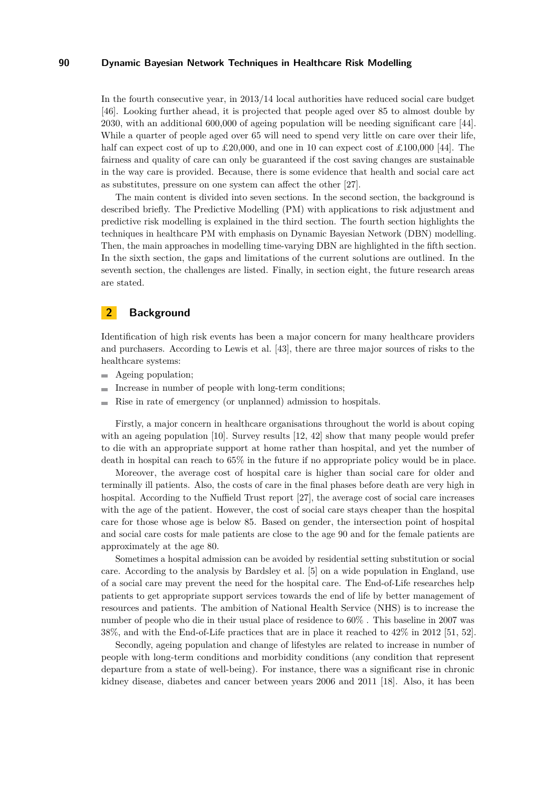In the fourth consecutive year, in 2013/14 local authorities have reduced social care budget [46]. Looking further ahead, it is projected that people aged over 85 to almost double by 2030, with an additional 600,000 of ageing population will be needing significant care [44]. While a quarter of people aged over 65 will need to spend very little on care over their life, half can expect cost of up to £20,000, and one in 10 can expect cost of £100,000 [44]. The fairness and quality of care can only be guaranteed if the cost saving changes are sustainable in the way care is provided. Because, there is some evidence that health and social care act as substitutes, pressure on one system can affect the other [27].

The main content is divided into seven sections. In the second section, the background is described briefly. The Predictive Modelling (PM) with applications to risk adjustment and predictive risk modelling is explained in the third section. The fourth section highlights the techniques in healthcare PM with emphasis on Dynamic Bayesian Network (DBN) modelling. Then, the main approaches in modelling time-varying DBN are highlighted in the fifth section. In the sixth section, the gaps and limitations of the current solutions are outlined. In the seventh section, the challenges are listed. Finally, in section eight, the future research areas are stated.

## **2 Background**

Identification of high risk events has been a major concern for many healthcare providers and purchasers. According to Lewis et al. [43], there are three major sources of risks to the healthcare systems:

- **Ageing population;**
- Increase in number of people with long-term conditions;  $\sim$
- Rise in rate of emergency (or unplanned) admission to hospitals.  $\blacksquare$

Firstly, a major concern in healthcare organisations throughout the world is about coping with an ageing population [10]. Survey results [12, 42] show that many people would prefer to die with an appropriate support at home rather than hospital, and yet the number of death in hospital can reach to 65% in the future if no appropriate policy would be in place.

Moreover, the average cost of hospital care is higher than social care for older and terminally ill patients. Also, the costs of care in the final phases before death are very high in hospital. According to the Nuffield Trust report [27], the average cost of social care increases with the age of the patient. However, the cost of social care stays cheaper than the hospital care for those whose age is below 85. Based on gender, the intersection point of hospital and social care costs for male patients are close to the age 90 and for the female patients are approximately at the age 80.

Sometimes a hospital admission can be avoided by residential setting substitution or social care. According to the analysis by Bardsley et al. [5] on a wide population in England, use of a social care may prevent the need for the hospital care. The End-of-Life researches help patients to get appropriate support services towards the end of life by better management of resources and patients. The ambition of National Health Service (NHS) is to increase the number of people who die in their usual place of residence to 60% . This baseline in 2007 was 38%, and with the End-of-Life practices that are in place it reached to 42% in 2012 [51, 52].

Secondly, ageing population and change of lifestyles are related to increase in number of people with long-term conditions and morbidity conditions (any condition that represent departure from a state of well-being). For instance, there was a significant rise in chronic kidney disease, diabetes and cancer between years 2006 and 2011 [18]. Also, it has been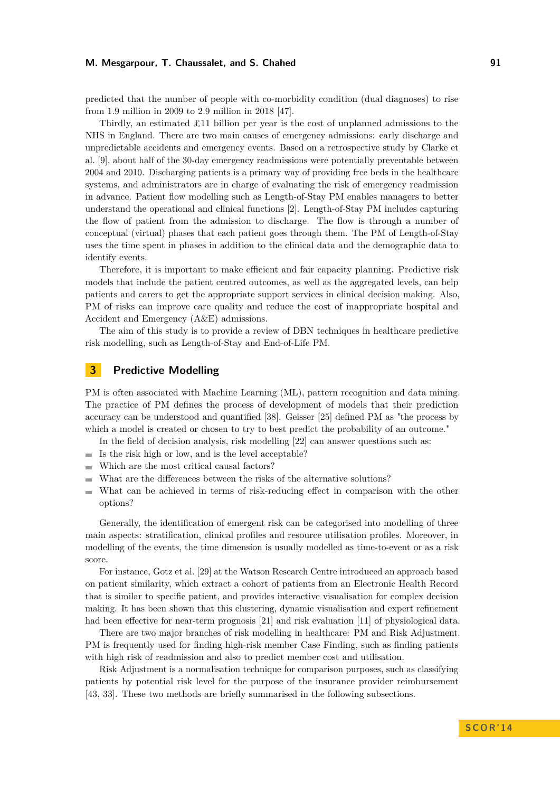predicted that the number of people with co-morbidity condition (dual diagnoses) to rise from 1.9 million in 2009 to 2.9 million in 2018 [47].

Thirdly, an estimated  $\pounds 11$  billion per year is the cost of unplanned admissions to the NHS in England. There are two main causes of emergency admissions: early discharge and unpredictable accidents and emergency events. Based on a retrospective study by Clarke et al. [9], about half of the 30-day emergency readmissions were potentially preventable between 2004 and 2010. Discharging patients is a primary way of providing free beds in the healthcare systems, and administrators are in charge of evaluating the risk of emergency readmission in advance. Patient flow modelling such as Length-of-Stay PM enables managers to better understand the operational and clinical functions [2]. Length-of-Stay PM includes capturing the flow of patient from the admission to discharge. The flow is through a number of conceptual (virtual) phases that each patient goes through them. The PM of Length-of-Stay uses the time spent in phases in addition to the clinical data and the demographic data to identify events.

Therefore, it is important to make efficient and fair capacity planning. Predictive risk models that include the patient centred outcomes, as well as the aggregated levels, can help patients and carers to get the appropriate support services in clinical decision making. Also, PM of risks can improve care quality and reduce the cost of inappropriate hospital and Accident and Emergency (A&E) admissions.

The aim of this study is to provide a review of DBN techniques in healthcare predictive risk modelling, such as Length-of-Stay and End-of-Life PM.

## **3 Predictive Modelling**

PM is often associated with Machine Learning (ML), pattern recognition and data mining. The practice of PM defines the process of development of models that their prediction accuracy can be understood and quantified [38]. Geisser [25] defined PM as "the process by which a model is created or chosen to try to best predict the probability of an outcome."

In the field of decision analysis, risk modelling [22] can answer questions such as:

- Is the risk high or low, and is the level acceptable?  $\sim$
- Which are the most critical causal factors? Ē.
- What are the differences between the risks of the alternative solutions?  $\blacksquare$
- What can be achieved in terms of risk-reducing effect in comparison with the other  $\overline{a}$ options?

Generally, the identification of emergent risk can be categorised into modelling of three main aspects: stratification, clinical profiles and resource utilisation profiles. Moreover, in modelling of the events, the time dimension is usually modelled as time-to-event or as a risk score.

For instance, Gotz et al. [29] at the Watson Research Centre introduced an approach based on patient similarity, which extract a cohort of patients from an Electronic Health Record that is similar to specific patient, and provides interactive visualisation for complex decision making. It has been shown that this clustering, dynamic visualisation and expert refinement had been effective for near-term prognosis [21] and risk evaluation [11] of physiological data.

There are two major branches of risk modelling in healthcare: PM and Risk Adjustment. PM is frequently used for finding high-risk member Case Finding, such as finding patients with high risk of readmission and also to predict member cost and utilisation.

Risk Adjustment is a normalisation technique for comparison purposes, such as classifying patients by potential risk level for the purpose of the insurance provider reimbursement [43, 33]. These two methods are briefly summarised in the following subsections.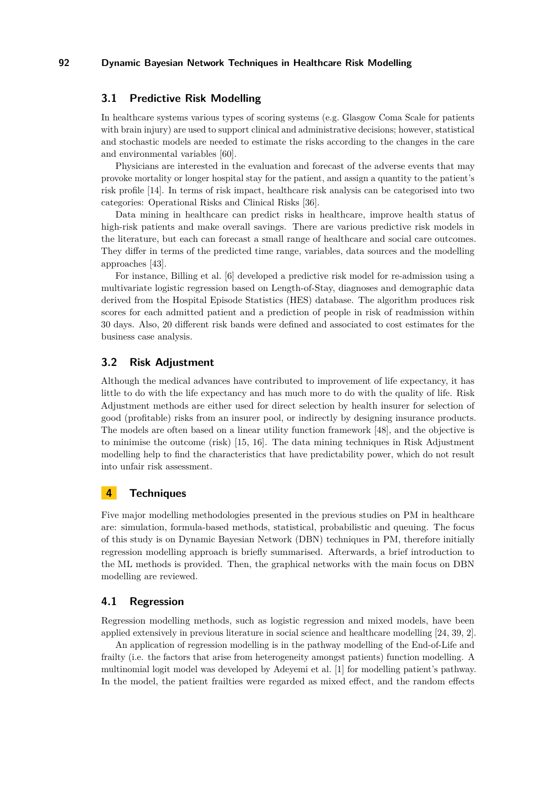## **3.1 Predictive Risk Modelling**

In healthcare systems various types of scoring systems (e.g. Glasgow Coma Scale for patients with brain injury) are used to support clinical and administrative decisions; however, statistical and stochastic models are needed to estimate the risks according to the changes in the care and environmental variables [60].

Physicians are interested in the evaluation and forecast of the adverse events that may provoke mortality or longer hospital stay for the patient, and assign a quantity to the patient's risk profile [14]. In terms of risk impact, healthcare risk analysis can be categorised into two categories: Operational Risks and Clinical Risks [36].

Data mining in healthcare can predict risks in healthcare, improve health status of high-risk patients and make overall savings. There are various predictive risk models in the literature, but each can forecast a small range of healthcare and social care outcomes. They differ in terms of the predicted time range, variables, data sources and the modelling approaches [43].

For instance, Billing et al. [6] developed a predictive risk model for re-admission using a multivariate logistic regression based on Length-of-Stay, diagnoses and demographic data derived from the Hospital Episode Statistics (HES) database. The algorithm produces risk scores for each admitted patient and a prediction of people in risk of readmission within 30 days. Also, 20 different risk bands were defined and associated to cost estimates for the business case analysis.

#### **3.2 Risk Adjustment**

Although the medical advances have contributed to improvement of life expectancy, it has little to do with the life expectancy and has much more to do with the quality of life. Risk Adjustment methods are either used for direct selection by health insurer for selection of good (profitable) risks from an insurer pool, or indirectly by designing insurance products. The models are often based on a linear utility function framework [48], and the objective is to minimise the outcome (risk) [15, 16]. The data mining techniques in Risk Adjustment modelling help to find the characteristics that have predictability power, which do not result into unfair risk assessment.

#### **4 Techniques**

Five major modelling methodologies presented in the previous studies on PM in healthcare are: simulation, formula-based methods, statistical, probabilistic and queuing. The focus of this study is on Dynamic Bayesian Network (DBN) techniques in PM, therefore initially regression modelling approach is briefly summarised. Afterwards, a brief introduction to the ML methods is provided. Then, the graphical networks with the main focus on DBN modelling are reviewed.

#### **4.1 Regression**

Regression modelling methods, such as logistic regression and mixed models, have been applied extensively in previous literature in social science and healthcare modelling [24, 39, 2].

An application of regression modelling is in the pathway modelling of the End-of-Life and frailty (i.e. the factors that arise from heterogeneity amongst patients) function modelling. A multinomial logit model was developed by Adeyemi et al. [1] for modelling patient's pathway. In the model, the patient frailties were regarded as mixed effect, and the random effects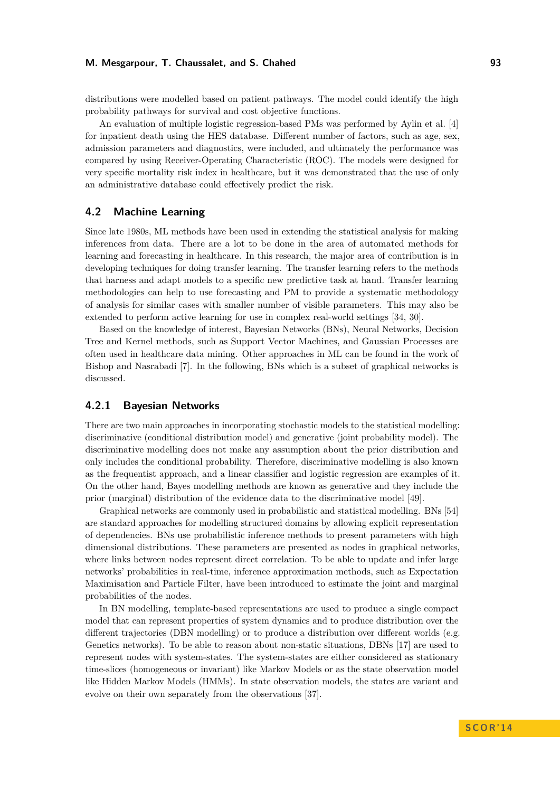distributions were modelled based on patient pathways. The model could identify the high probability pathways for survival and cost objective functions.

An evaluation of multiple logistic regression-based PMs was performed by Aylin et al. [4] for inpatient death using the HES database. Different number of factors, such as age, sex, admission parameters and diagnostics, were included, and ultimately the performance was compared by using Receiver-Operating Characteristic (ROC). The models were designed for very specific mortality risk index in healthcare, but it was demonstrated that the use of only an administrative database could effectively predict the risk.

#### **4.2 Machine Learning**

Since late 1980s, ML methods have been used in extending the statistical analysis for making inferences from data. There are a lot to be done in the area of automated methods for learning and forecasting in healthcare. In this research, the major area of contribution is in developing techniques for doing transfer learning. The transfer learning refers to the methods that harness and adapt models to a specific new predictive task at hand. Transfer learning methodologies can help to use forecasting and PM to provide a systematic methodology of analysis for similar cases with smaller number of visible parameters. This may also be extended to perform active learning for use in complex real-world settings [34, 30].

Based on the knowledge of interest, Bayesian Networks (BNs), Neural Networks, Decision Tree and Kernel methods, such as Support Vector Machines, and Gaussian Processes are often used in healthcare data mining. Other approaches in ML can be found in the work of Bishop and Nasrabadi [7]. In the following, BNs which is a subset of graphical networks is discussed.

#### **4.2.1 Bayesian Networks**

There are two main approaches in incorporating stochastic models to the statistical modelling: discriminative (conditional distribution model) and generative (joint probability model). The discriminative modelling does not make any assumption about the prior distribution and only includes the conditional probability. Therefore, discriminative modelling is also known as the frequentist approach, and a linear classifier and logistic regression are examples of it. On the other hand, Bayes modelling methods are known as generative and they include the prior (marginal) distribution of the evidence data to the discriminative model [49].

Graphical networks are commonly used in probabilistic and statistical modelling. BNs [54] are standard approaches for modelling structured domains by allowing explicit representation of dependencies. BNs use probabilistic inference methods to present parameters with high dimensional distributions. These parameters are presented as nodes in graphical networks, where links between nodes represent direct correlation. To be able to update and infer large networks' probabilities in real-time, inference approximation methods, such as Expectation Maximisation and Particle Filter, have been introduced to estimate the joint and marginal probabilities of the nodes.

In BN modelling, template-based representations are used to produce a single compact model that can represent properties of system dynamics and to produce distribution over the different trajectories (DBN modelling) or to produce a distribution over different worlds (e.g. Genetics networks). To be able to reason about non-static situations, DBNs [17] are used to represent nodes with system-states. The system-states are either considered as stationary time-slices (homogeneous or invariant) like Markov Models or as the state observation model like Hidden Markov Models (HMMs). In state observation models, the states are variant and evolve on their own separately from the observations [37].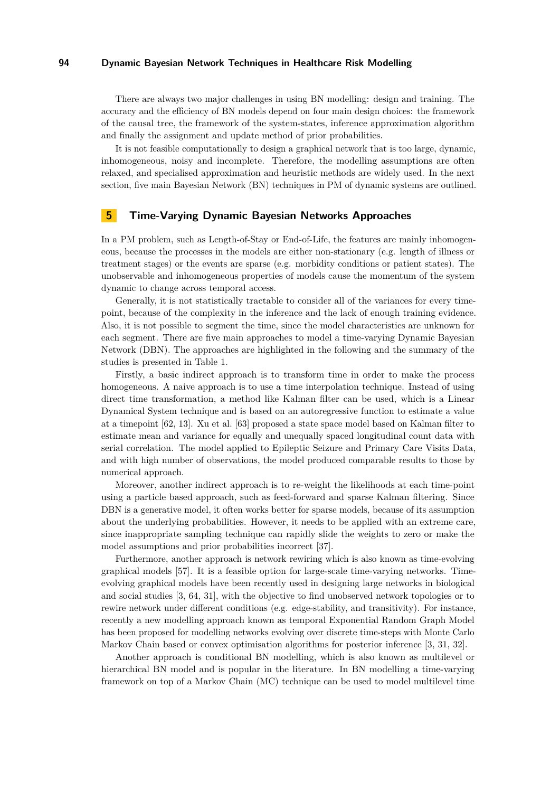There are always two major challenges in using BN modelling: design and training. The accuracy and the efficiency of BN models depend on four main design choices: the framework of the causal tree, the framework of the system-states, inference approximation algorithm and finally the assignment and update method of prior probabilities.

It is not feasible computationally to design a graphical network that is too large, dynamic, inhomogeneous, noisy and incomplete. Therefore, the modelling assumptions are often relaxed, and specialised approximation and heuristic methods are widely used. In the next section, five main Bayesian Network (BN) techniques in PM of dynamic systems are outlined.

## **5 Time-Varying Dynamic Bayesian Networks Approaches**

In a PM problem, such as Length-of-Stay or End-of-Life, the features are mainly inhomogeneous, because the processes in the models are either non-stationary (e.g. length of illness or treatment stages) or the events are sparse (e.g. morbidity conditions or patient states). The unobservable and inhomogeneous properties of models cause the momentum of the system dynamic to change across temporal access.

Generally, it is not statistically tractable to consider all of the variances for every timepoint, because of the complexity in the inference and the lack of enough training evidence. Also, it is not possible to segment the time, since the model characteristics are unknown for each segment. There are five main approaches to model a time-varying Dynamic Bayesian Network (DBN). The approaches are highlighted in the following and the summary of the studies is presented in Table 1.

Firstly, a basic indirect approach is to transform time in order to make the process homogeneous. A naive approach is to use a time interpolation technique. Instead of using direct time transformation, a method like Kalman filter can be used, which is a Linear Dynamical System technique and is based on an autoregressive function to estimate a value at a timepoint [62, 13]. Xu et al. [63] proposed a state space model based on Kalman filter to estimate mean and variance for equally and unequally spaced longitudinal count data with serial correlation. The model applied to Epileptic Seizure and Primary Care Visits Data, and with high number of observations, the model produced comparable results to those by numerical approach.

Moreover, another indirect approach is to re-weight the likelihoods at each time-point using a particle based approach, such as feed-forward and sparse Kalman filtering. Since DBN is a generative model, it often works better for sparse models, because of its assumption about the underlying probabilities. However, it needs to be applied with an extreme care, since inappropriate sampling technique can rapidly slide the weights to zero or make the model assumptions and prior probabilities incorrect [37].

Furthermore, another approach is network rewiring which is also known as time-evolving graphical models [57]. It is a feasible option for large-scale time-varying networks. Timeevolving graphical models have been recently used in designing large networks in biological and social studies [3, 64, 31], with the objective to find unobserved network topologies or to rewire network under different conditions (e.g. edge-stability, and transitivity). For instance, recently a new modelling approach known as temporal Exponential Random Graph Model has been proposed for modelling networks evolving over discrete time-steps with Monte Carlo Markov Chain based or convex optimisation algorithms for posterior inference [3, 31, 32].

Another approach is conditional BN modelling, which is also known as multilevel or hierarchical BN model and is popular in the literature. In BN modelling a time-varying framework on top of a Markov Chain (MC) technique can be used to model multilevel time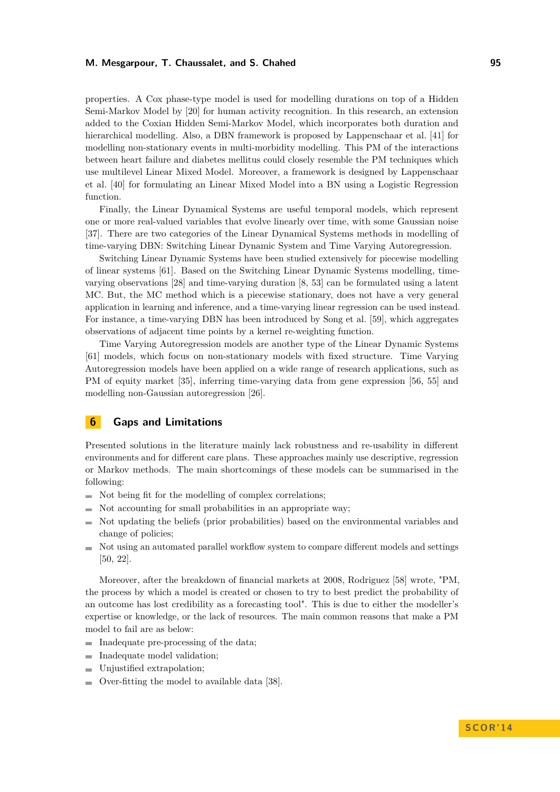properties. A Cox phase-type model is used for modelling durations on top of a Hidden Semi-Markov Model by [20] for human activity recognition. In this research, an extension added to the Coxian Hidden Semi-Markov Model, which incorporates both duration and hierarchical modelling. Also, a DBN framework is proposed by Lappenschaar et al. [41] for modelling non-stationary events in multi-morbidity modelling. This PM of the interactions between heart failure and diabetes mellitus could closely resemble the PM techniques which use multilevel Linear Mixed Model. Moreover, a framework is designed by Lappenschaar et al. [40] for formulating an Linear Mixed Model into a BN using a Logistic Regression function.

Finally, the Linear Dynamical Systems are useful temporal models, which represent one or more real-valued variables that evolve linearly over time, with some Gaussian noise [37]. There are two categories of the Linear Dynamical Systems methods in modelling of time-varying DBN: Switching Linear Dynamic System and Time Varying Autoregression.

Switching Linear Dynamic Systems have been studied extensively for piecewise modelling of linear systems [61]. Based on the Switching Linear Dynamic Systems modelling, timevarying observations [28] and time-varying duration [8, 53] can be formulated using a latent MC. But, the MC method which is a piecewise stationary, does not have a very general application in learning and inference, and a time-varying linear regression can be used instead. For instance, a time-varying DBN has been introduced by Song et al. [59], which aggregates observations of adjacent time points by a kernel re-weighting function.

Time Varying Autoregression models are another type of the Linear Dynamic Systems [61] models, which focus on non-stationary models with fixed structure. Time Varying Autoregression models have been applied on a wide range of research applications, such as PM of equity market [35], inferring time-varying data from gene expression [56, 55] and modelling non-Gaussian autoregression [26].

#### **6 Gaps and Limitations**

Presented solutions in the literature mainly lack robustness and re-usability in different environments and for different care plans. These approaches mainly use descriptive, regression or Markov methods. The main shortcomings of these models can be summarised in the following:

- $\blacksquare$  Not being fit for the modelling of complex correlations;
- Not accounting for small probabilities in an appropriate way;  $\overline{\phantom{a}}$
- $\blacksquare$  Not updating the beliefs (prior probabilities) based on the environmental variables and change of policies;
- Not using an automated parallel workflow system to compare different models and settings ÷. [50, 22].

Moreover, after the breakdown of financial markets at 2008, Rodriguez [58] wrote, "PM, the process by which a model is created or chosen to try to best predict the probability of an outcome has lost credibility as a forecasting tool". This is due to either the modeller's expertise or knowledge, or the lack of resources. The main common reasons that make a PM model to fail are as below:

- Inadequate pre-processing of the data;  $\blacksquare$
- Inadequate model validation;  $\overline{a}$
- Unjustified extrapolation:  $\blacksquare$
- Over-fitting the model to available data [38].  $\overline{\phantom{0}}$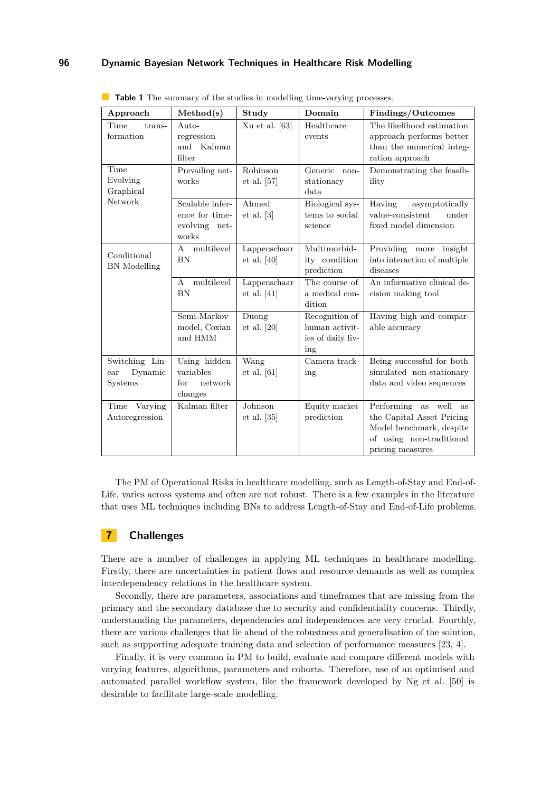| Approach                                    | Method(s)                                                   | Study                         | Domain                                                       | Findings/Outcomes                                                                                                              |
|---------------------------------------------|-------------------------------------------------------------|-------------------------------|--------------------------------------------------------------|--------------------------------------------------------------------------------------------------------------------------------|
| Time<br>trans-<br>formation                 | $Auto-$<br>regression<br>and Kalman<br>filter               | Xu et al. $[63]$              | Healthcare<br>events                                         | The likelihood estimation<br>approach performs better<br>than the numerical integ-<br>ration approach                          |
| Time<br>Evolving<br>Graphical<br>Network    | Prevailing net-<br>works                                    | Robinson<br>$et$ al. [57]     | Generic<br>non-<br>stationary<br>data                        | Demonstrating the feasib-<br>ility                                                                                             |
|                                             | Scalable infer-<br>ence for time-<br>evolving net-<br>works | Ahmed<br>et al. [3]           | Biological sys-<br>tems to social<br>science                 | asymptotically<br>Having<br>value-consistent<br>under<br>fixed model dimension                                                 |
| Conditional<br><b>BN</b> Modelling          | multilevel<br>$\mathsf{A}$<br><b>BN</b>                     | Lappenschaar<br>et al. $[40]$ | Multimorbid-<br>ity condition<br>prediction                  | Providing more insight<br>into interaction of multiple<br>diseases                                                             |
|                                             | multilevel<br>A<br><b>BN</b>                                | Lappenschaar<br>et al. $[41]$ | The course of<br>a medical con-<br>dition                    | An informative clinical de-<br>cision making tool                                                                              |
|                                             | Semi-Markov<br>model, Coxian<br>and HMM                     | Duong<br>et al. [20]          | Recognition of<br>human activit-<br>ies of daily liv-<br>ing | Having high and compar-<br>able accuracy                                                                                       |
| Switching Lin-<br>Dynamic<br>ear<br>Systems | Using hidden<br>variables<br>network<br>for<br>changes      | Wang<br>et al. [61]           | Camera track-<br>ing                                         | Being successful for both<br>simulated non-stationary<br>data and video sequences                                              |
| Time Varying<br>Autoregression              | Kalman filter                                               | Johnson<br>et al. [35]        | Equity market<br>prediction                                  | Performing as well as<br>the Capital Asset Pricing<br>Model benchmark, despite<br>of using non-traditional<br>pricing measures |

**Table 1** The summary of the studies in modelling time-varying processes.

The PM of Operational Risks in healthcare modelling, such as Length-of-Stay and End-of-Life, varies across systems and often are not robust. There is a few examples in the literature that uses ML techniques including BNs to address Length-of-Stay and End-of-Life problems.

#### **7 Challenges**

There are a number of challenges in applying ML techniques in healthcare modelling. Firstly, there are uncertainties in patient flows and resource demands as well as complex interdependency relations in the healthcare system.

Secondly, there are parameters, associations and timeframes that are missing from the primary and the secondary database due to security and confidentiality concerns. Thirdly, understanding the parameters, dependencies and independences are very crucial. Fourthly, there are various challenges that lie ahead of the robustness and generalisation of the solution, such as supporting adequate training data and selection of performance measures [23, 4].

Finally, it is very common in PM to build, evaluate and compare different models with varying features, algorithms, parameters and cohorts. Therefore, use of an optimised and automated parallel workflow system, like the framework developed by Ng et al. [50] is desirable to facilitate large-scale modelling.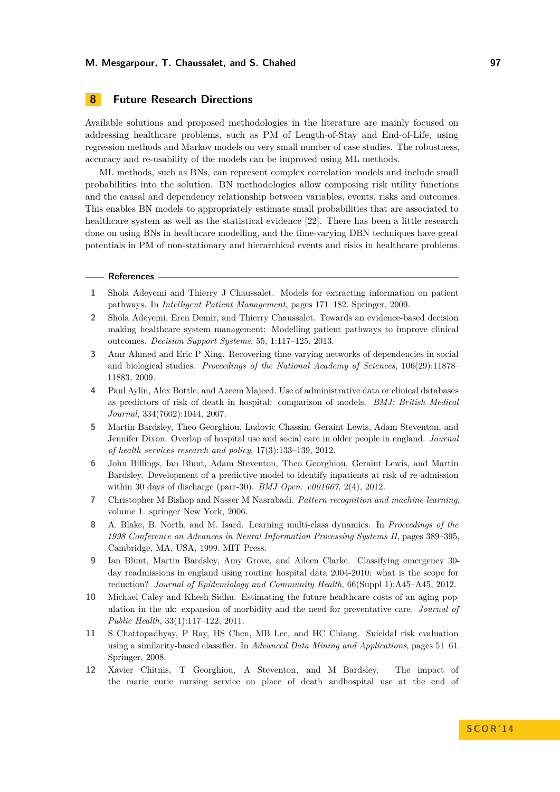## **8 Future Research Directions**

Available solutions and proposed methodologies in the literature are mainly focused on addressing healthcare problems, such as PM of Length-of-Stay and End-of-Life, using regression methods and Markov models on very small number of case studies. The robustness, accuracy and re-usability of the models can be improved using ML methods.

ML methods, such as BNs, can represent complex correlation models and include small probabilities into the solution. BN methodologies allow composing risk utility functions and the causal and dependency relationship between variables, events, risks and outcomes. This enables BN models to appropriately estimate small probabilities that are associated to healthcare system as well as the statistical evidence [22]. There has been a little research done on using BNs in healthcare modelling, and the time-varying DBN techniques have great potentials in PM of non-stationary and hierarchical events and risks in healthcare problems.

#### **References**

- **1** Shola Adeyemi and Thierry J Chaussalet. Models for extracting information on patient pathways. In *Intelligent Patient Management*, pages 171–182. Springer, 2009.
- **2** Shola Adeyemi, Eren Demir, and Thierry Chaussalet. Towards an evidence-based decision making healthcare system management: Modelling patient pathways to improve clinical outcomes. *Decision Support Systems*, 55, 1:117–125, 2013.
- **3** Amr Ahmed and Eric P Xing. Recovering time-varying networks of dependencies in social and biological studies. *Proceedings of the National Academy of Sciences*, 106(29):11878– 11883, 2009.
- **4** Paul Aylin, Alex Bottle, and Azeem Majeed. Use of administrative data or clinical databases as predictors of risk of death in hospital: comparison of models. *BMJ: British Medical Journal*, 334(7602):1044, 2007.
- **5** Martin Bardsley, Theo Georghiou, Ludovic Chassin, Geraint Lewis, Adam Steventon, and Jennifer Dixon. Overlap of hospital use and social care in older people in england. *Journal of health services research and policy*, 17(3):133–139, 2012.
- **6** John Billings, Ian Blunt, Adam Steventon, Theo Georghiou, Geraint Lewis, and Martin Bardsley. Development of a predictive model to identify inpatients at risk of re-admission within 30 days of discharge (parr-30). *BMJ Open: e001667*, 2(4), 2012.
- **7** Christopher M Bishop and Nasser M Nasrabadi. *Pattern recognition and machine learning*, volume 1. springer New York, 2006.
- **8** A. Blake, B. North, and M. Isard. Learning multi-class dynamics. In *Proceedings of the 1998 Conference on Advances in Neural Information Processing Systems II*, pages 389–395, Cambridge, MA, USA, 1999. MIT Press.
- **9** Ian Blunt, Martin Bardsley, Amy Grove, and Aileen Clarke. Classifying emergency 30 day readmissions in england using routine hospital data 2004-2010: what is the scope for reduction? *Journal of Epidemiology and Community Health*, 66(Suppl 1):A45–A45, 2012.
- **10** Michael Caley and Khesh Sidhu. Estimating the future healthcare costs of an aging population in the uk: expansion of morbidity and the need for preventative care. *Journal of Public Health*, 33(1):117–122, 2011.
- **11** S Chattopadhyay, P Ray, HS Chen, MB Lee, and HC Chiang. Suicidal risk evaluation using a similarity-based classifier. In *Advanced Data Mining and Applications*, pages 51–61. Springer, 2008.
- **12** Xavier Chitnis, T Georghiou, A Steventon, and M Bardsley. The impact of the marie curie nursing service on place of death andhospital use at the end of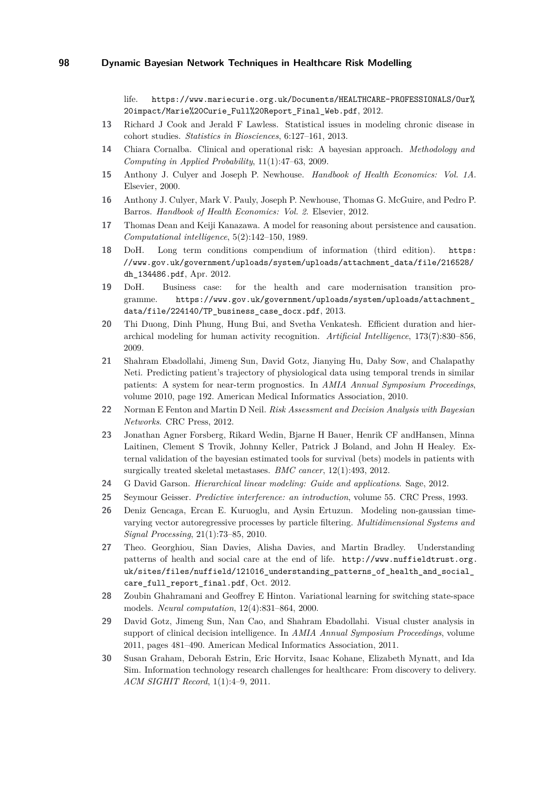life. [https://www.mariecurie.org.uk/Documents/HEALTHCARE-PROFESSIONALS/Our%](https://www.mariecurie.org.uk/Documents/HEALTHCARE-PROFESSIONALS/Our%20impact/Marie%20Curie_Full%20Report_Final_Web.pdf) [20impact/Marie%20Curie\\_Full%20Report\\_Final\\_Web.pdf](https://www.mariecurie.org.uk/Documents/HEALTHCARE-PROFESSIONALS/Our%20impact/Marie%20Curie_Full%20Report_Final_Web.pdf), 2012.

- **13** Richard J Cook and Jerald F Lawless. Statistical issues in modeling chronic disease in cohort studies. *Statistics in Biosciences*, 6:127–161, 2013.
- **14** Chiara Cornalba. Clinical and operational risk: A bayesian approach. *Methodology and Computing in Applied Probability*, 11(1):47–63, 2009.
- **15** Anthony J. Culyer and Joseph P. Newhouse. *Handbook of Health Economics: Vol. 1A*. Elsevier, 2000.
- **16** Anthony J. Culyer, Mark V. Pauly, Joseph P. Newhouse, Thomas G. McGuire, and Pedro P. Barros. *Handbook of Health Economics: Vol. 2*. Elsevier, 2012.
- **17** Thomas Dean and Keiji Kanazawa. A model for reasoning about persistence and causation. *Computational intelligence*, 5(2):142–150, 1989.
- **18** DoH. Long term conditions compendium of information (third edition). [https:](https://www.gov.uk/government/uploads/system/uploads/attachment_data/file/216528/dh_134486.pdf) [//www.gov.uk/government/uploads/system/uploads/attachment\\_data/file/216528/](https://www.gov.uk/government/uploads/system/uploads/attachment_data/file/216528/dh_134486.pdf) [dh\\_134486.pdf](https://www.gov.uk/government/uploads/system/uploads/attachment_data/file/216528/dh_134486.pdf), Apr. 2012.
- **19** DoH. Business case: for the health and care modernisation transition programme. [https://www.gov.uk/government/uploads/system/uploads/attachment\\_](https://www.gov.uk/government/uploads/system/uploads/attachment_data/file/224140/TP_business_case_docx.pdf) [data/file/224140/TP\\_business\\_case\\_docx.pdf](https://www.gov.uk/government/uploads/system/uploads/attachment_data/file/224140/TP_business_case_docx.pdf), 2013.
- **20** Thi Duong, Dinh Phung, Hung Bui, and Svetha Venkatesh. Efficient duration and hierarchical modeling for human activity recognition. *Artificial Intelligence*, 173(7):830–856, 2009.
- **21** Shahram Ebadollahi, Jimeng Sun, David Gotz, Jianying Hu, Daby Sow, and Chalapathy Neti. Predicting patient's trajectory of physiological data using temporal trends in similar patients: A system for near-term prognostics. In *AMIA Annual Symposium Proceedings*, volume 2010, page 192. American Medical Informatics Association, 2010.
- **22** Norman E Fenton and Martin D Neil. *Risk Assessment and Decision Analysis with Bayesian Networks*. CRC Press, 2012.
- **23** Jonathan Agner Forsberg, Rikard Wedin, Bjarne H Bauer, Henrik CF andHansen, Minna Laitinen, Clement S Trovik, Johnny Keller, Patrick J Boland, and John H Healey. External validation of the bayesian estimated tools for survival (bets) models in patients with surgically treated skeletal metastases. *BMC cancer*, 12(1):493, 2012.
- **24** G David Garson. *Hierarchical linear modeling: Guide and applications*. Sage, 2012.
- **25** Seymour Geisser. *Predictive interference: an introduction*, volume 55. CRC Press, 1993.
- **26** Deniz Gencaga, Ercan E. Kuruoglu, and Aysin Ertuzun. Modeling non-gaussian timevarying vector autoregressive processes by particle filtering. *Multidimensional Systems and Signal Processing*, 21(1):73–85, 2010.
- **27** Theo. Georghiou, Sian Davies, Alisha Davies, and Martin Bradley. Understanding patterns of health and social care at the end of life. [http://www.nuffieldtrust.org.](http://www.nuffieldtrust.org.uk/sites/files/nuffield/121016_understanding_patterns_of_health_and_social_care_full_report_final.pdf) [uk/sites/files/nuffield/121016\\_understanding\\_patterns\\_of\\_health\\_and\\_social\\_](http://www.nuffieldtrust.org.uk/sites/files/nuffield/121016_understanding_patterns_of_health_and_social_care_full_report_final.pdf) [care\\_full\\_report\\_final.pdf](http://www.nuffieldtrust.org.uk/sites/files/nuffield/121016_understanding_patterns_of_health_and_social_care_full_report_final.pdf), Oct. 2012.
- **28** Zoubin Ghahramani and Geoffrey E Hinton. Variational learning for switching state-space models. *Neural computation*, 12(4):831–864, 2000.
- **29** David Gotz, Jimeng Sun, Nan Cao, and Shahram Ebadollahi. Visual cluster analysis in support of clinical decision intelligence. In *AMIA Annual Symposium Proceedings*, volume 2011, pages 481–490. American Medical Informatics Association, 2011.
- **30** Susan Graham, Deborah Estrin, Eric Horvitz, Isaac Kohane, Elizabeth Mynatt, and Ida Sim. Information technology research challenges for healthcare: From discovery to delivery. *ACM SIGHIT Record*, 1(1):4–9, 2011.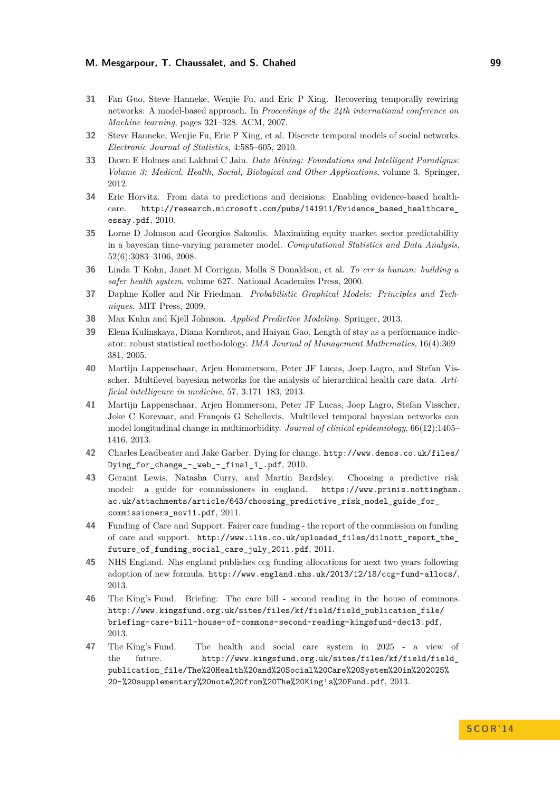- **31** Fan Guo, Steve Hanneke, Wenjie Fu, and Eric P Xing. Recovering temporally rewiring networks: A model-based approach. In *Proceedings of the 24th international conference on Machine learning*, pages 321–328. ACM, 2007.
- **32** Steve Hanneke, Wenjie Fu, Eric P Xing, et al. Discrete temporal models of social networks. *Electronic Journal of Statistics*, 4:585–605, 2010.
- **33** Dawn E Holmes and Lakhmi C Jain. *Data Mining: Foundations and Intelligent Paradigms: Volume 3: Medical, Health, Social, Biological and Other Applications*, volume 3. Springer, 2012.
- **34** Eric Horvitz. From data to predictions and decisions: Enabling evidence-based healthcare. [http://research.microsoft.com/pubs/141911/Evidence\\_based\\_healthcare\\_](http://research.microsoft.com/pubs/141911/Evidence_based_healthcare_essay.pdf) [essay.pdf](http://research.microsoft.com/pubs/141911/Evidence_based_healthcare_essay.pdf), 2010.
- **35** Lorne D Johnson and Georgios Sakoulis. Maximizing equity market sector predictability in a bayesian time-varying parameter model. *Computational Statistics and Data Analysis*, 52(6):3083–3106, 2008.
- **36** Linda T Kohn, Janet M Corrigan, Molla S Donaldson, et al. *To err is human: building a safer health system*, volume 627. National Academies Press, 2000.
- **37** Daphne Koller and Nir Friedman. *Probabilistic Graphical Models: Principles and Techniques*. MIT Press, 2009.
- **38** Max Kuhn and Kjell Johnson. *Applied Predictive Modeling*. Springer, 2013.
- **39** Elena Kulinskaya, Diana Kornbrot, and Haiyan Gao. Length of stay as a performance indicator: robust statistical methodology. *IMA Journal of Management Mathematics*, 16(4):369– 381, 2005.
- **40** Martijn Lappenschaar, Arjen Hommersom, Peter JF Lucas, Joep Lagro, and Stefan Visscher. Multilevel bayesian networks for the analysis of hierarchical health care data. *Artificial intelligence in medicine*, 57, 3:171–183, 2013.
- **41** Martijn Lappenschaar, Arjen Hommersom, Peter JF Lucas, Joep Lagro, Stefan Visscher, Joke C Korevaar, and François G Schellevis. Multilevel temporal bayesian networks can model longitudinal change in multimorbidity. *Journal of clinical epidemiology*, 66(12):1405– 1416, 2013.
- **42** Charles Leadbeater and Jake Garber. Dying for change. [http://www.demos.co.uk/files/](http://www.demos.co.uk/files/Dying_for_change_-_web_-_final_1_.pdf) [Dying\\_for\\_change\\_-\\_web\\_-\\_final\\_1\\_.pdf](http://www.demos.co.uk/files/Dying_for_change_-_web_-_final_1_.pdf), 2010.
- **43** Geraint Lewis, Natasha Curry, and Martin Bardsley. Choosing a predictive risk model: a guide for commissioners in england. [https://www.primis.nottingham.](https://www.primis.nottingham.ac.uk/attachments/article/643/choosing_predictive_risk_model_guide_for_commissioners_nov11.pdf) [ac.uk/attachments/article/643/choosing\\_predictive\\_risk\\_model\\_guide\\_for\\_](https://www.primis.nottingham.ac.uk/attachments/article/643/choosing_predictive_risk_model_guide_for_commissioners_nov11.pdf) [commissioners\\_nov11.pdf](https://www.primis.nottingham.ac.uk/attachments/article/643/choosing_predictive_risk_model_guide_for_commissioners_nov11.pdf), 2011.
- **44** Funding of Care and Support. Fairer care funding the report of the commission on funding of care and support. [http://www.ilis.co.uk/uploaded\\_files/dilnott\\_report\\_the\\_](http://www.ilis.co.uk/uploaded_files/dilnott_report_the_future_of_funding_social_care_july_2011.pdf) [future\\_of\\_funding\\_social\\_care\\_july\\_2011.pdf](http://www.ilis.co.uk/uploaded_files/dilnott_report_the_future_of_funding_social_care_july_2011.pdf), 2011.
- **45** NHS England. Nhs england publishes ccg funding allocations for next two years following adoption of new formula. <http://www.england.nhs.uk/2013/12/18/ccg-fund-allocs/>, 2013.
- **46** The King's Fund. Briefing: The care bill second reading in the house of commons. [http://www.kingsfund.org.uk/sites/files/kf/field/field\\_publication\\_file/](http://www.kingsfund.org.uk/sites/files/kf/field/field_publication_file/briefing-care-bill-house-of-commons-second-reading-kingsfund-dec13.pdf) [briefing-care-bill-house-of-commons-second-reading-kingsfund-dec13.pdf](http://www.kingsfund.org.uk/sites/files/kf/field/field_publication_file/briefing-care-bill-house-of-commons-second-reading-kingsfund-dec13.pdf), 2013.
- **47** The King's Fund. The health and social care system in 2025 a view of the future. [http://www.kingsfund.org.uk/sites/files/kf/field/field\\_](http://www.kingsfund.org.uk/sites/files/kf/field/field_publication_file/The%20Health%20and%20Social%20Care%20System%20in%202025%20-%20supplementary%20note%20from%20The%20King) [publication\\_file/The%20Health%20and%20Social%20Care%20System%20in%202025%](http://www.kingsfund.org.uk/sites/files/kf/field/field_publication_file/The%20Health%20and%20Social%20Care%20System%20in%202025%20-%20supplementary%20note%20from%20The%20King) [20-%20supplementary%20note%20from%20The%20King's%20Fund.pdf](http://www.kingsfund.org.uk/sites/files/kf/field/field_publication_file/The%20Health%20and%20Social%20Care%20System%20in%202025%20-%20supplementary%20note%20from%20The%20King), 2013.